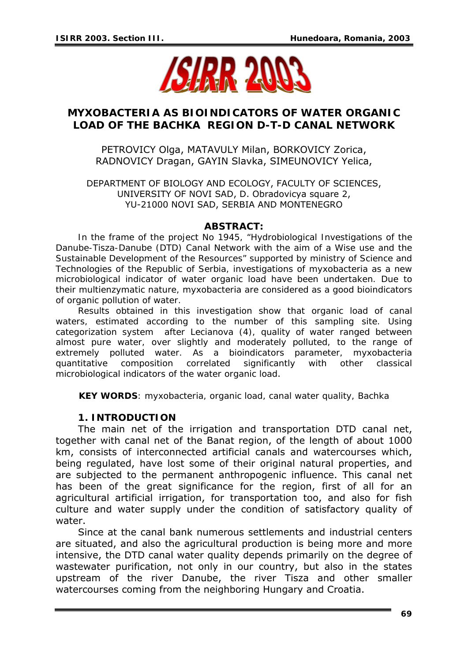

# **MYXOBACTERIA AS BIOINDICATORS OF WATER ORGANIC LOAD OF THE BACHKA REGION D-T-D CANAL NETWORK**

PETROVICY Olga, MATAVULY Milan, BORKOVICY Zorica, RADNOVICY Dragan, GAYIN Slavka, SIMEUNOVICY Yelica,

DEPARTMENT OF BIOLOGY AND ECOLOGY, FACULTY OF SCIENCES, UNIVERSITY OF NOVI SAD, D. Obradovicya square 2, YU-21000 NOVI SAD, SERBIA AND MONTENEGRO

#### *ABSTRACT:*

*In the frame of the project No 1945, "Hydrobiological Investigations of the Danube-Tisza-Danube (DTD) Canal Network with the aim of a Wise use and the Sustainable Development of the Resources" supported by ministry of Science and Technologies of the Republic of Serbia, investigations of myxobacteria as a new microbiological indicator of water organic load have been undertaken. Due to their multienzymatic nature, myxobacteria are considered as a good bioindicators of organic pollution of water.* 

*Results obtained in this investigation show that organic load of canal*  waters, estimated according to the number of this sampling site. Using *categorization system after Lecianova (4), quality of water ranged between almost pure water, over slightly and moderately polluted, to the range of extremely polluted water. As a bioindicators parameter, myxobacteria quantitative composition correlated significantly with other classical microbiological indicators of the water organic load*.

*KEY WORDS: myxobacteria, organic load, canal water quality, Bachka* 

#### **1. INTRODUCTION**

The main net of the irrigation and transportation DTD canal net, together with canal net of the Banat region, of the length of about 1000 km, consists of interconnected artificial canals and watercourses which, being regulated, have lost some of their original natural properties, and are subjected to the permanent anthropogenic influence. This canal net has been of the great significance for the region, first of all for an agricultural artificial irrigation, for transportation too, and also for fish culture and water supply under the condition of satisfactory quality of water.

Since at the canal bank numerous settlements and industrial centers are situated, and also the agricultural production is being more and more intensive, the DTD canal water quality depends primarily on the degree of wastewater purification, not only in our country, but also in the states upstream of the river Danube, the river Tisza and other smaller watercourses coming from the neighboring Hungary and Croatia.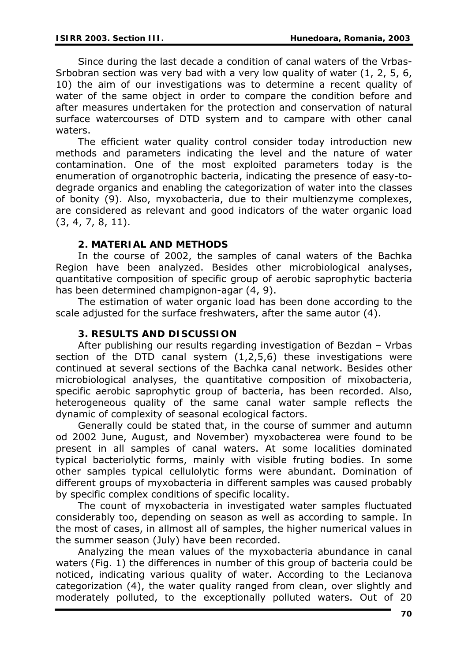Since during the last decade a condition of canal waters of the Vrbas-Srbobran section was very bad with a very low quality of water (1, 2, 5, 6, 10) the aim of our investigations was to determine a recent quality of water of the same object in order to compare the condition before and after measures undertaken for the protection and conservation of natural surface watercourses of DTD system and to campare with other canal waters.

The efficient water quality control consider today introduction new methods and parameters indicating the level and the nature of water contamination. One of the most exploited parameters today is the enumeration of organotrophic bacteria, indicating the presence of easy-todegrade organics and enabling the categorization of water into the classes of bonity (9). Also, myxobacteria, due to their multienzyme complexes, are considered as relevant and good indicators of the water organic load (3, 4, 7, 8, 11).

## **2. MATERIAL AND METHODS**

In the course of 2002, the samples of canal waters of the Bachka Region have been analyzed. Besides other microbiological analyses, quantitative composition of specific group of aerobic saprophytic bacteria has been determined champignon-agar (4, 9).

The estimation of water organic load has been done according to the scale adjusted for the surface freshwaters, after the same autor (4).

### **3. RESULTS AND DISCUSSION**

After publishing our results regarding investigation of Bezdan – Vrbas section of the DTD canal system (1,2,5,6) these investigations were continued at several sections of the Bachka canal network. Besides other microbiological analyses, the quantitative composition of mixobacteria, specific aerobic saprophytic group of bacteria, has been recorded. Also, heterogeneous quality of the same canal water sample reflects the dynamic of complexity of seasonal ecological factors.

Generally could be stated that, in the course of summer and autumn od 2002 June, August, and November) myxobacterea were found to be present in all samples of canal waters. At some localities dominated typical bacteriolytic forms, mainly with visible fruting bodies. In some other samples typical cellulolytic forms were abundant. Domination of different groups of myxobacteria in different samples was caused probably by specific complex conditions of specific locality.

The count of myxobacteria in investigated water samples fluctuated considerably too, depending on season as well as according to sample. In the most of cases, in allmost all of samples, the higher numerical values in the summer season (July) have been recorded.

Analyzing the mean values of the myxobacteria abundance in canal waters (Fig. 1) the differences in number of this group of bacteria could be noticed, indicating various quality of water. According to the Lecianova categorization (4), the water quality ranged from clean, over slightly and moderately polluted, to the exceptionally polluted waters. Out of 20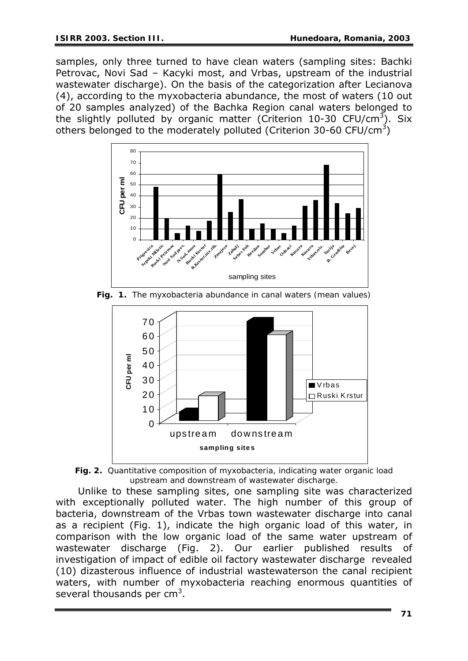samples, only three turned to have clean waters (sampling sites: Bachki Petrovac, Novi Sad – Kacyki most, and Vrbas, upstream of the industrial wastewater discharge). On the basis of the categorization after Lecianova (4), according to the myxobacteria abundance, the most of waters (10 out of 20 samples analyzed) of the Bachka Region canal waters belonged to the slightly polluted by organic matter (Criterion 10-30 CFU/cm<sup>3</sup>). Six others belonged to the moderately polluted (Criterion 30-60 CFU/cm<sup>3</sup>)



*Fig. 1. The myxobacteria abundance in canal waters (mean values)* 



*Fig. 2. Quantitative composition of myxobacteria, indicating water organic load upstream and downstream of wastewater discharge.* 

Unlike to these sampling sites, one sampling site was characterized with exceptionally polluted water. The high number of this group of bacteria, downstream of the Vrbas town wastewater discharge into canal as a recipient (Fig. 1), indicate the high organic load of this water, in comparison with the low organic load of the same water upstream of wastewater discharge (Fig. 2). Our earlier published results of investigation of impact of edible oil factory wastewater discharge revealed (10) dizasterous influence of industrial wastewaterson the canal recipient waters, with number of myxobacteria reaching enormous quantities of several thousands per cm<sup>3</sup>.